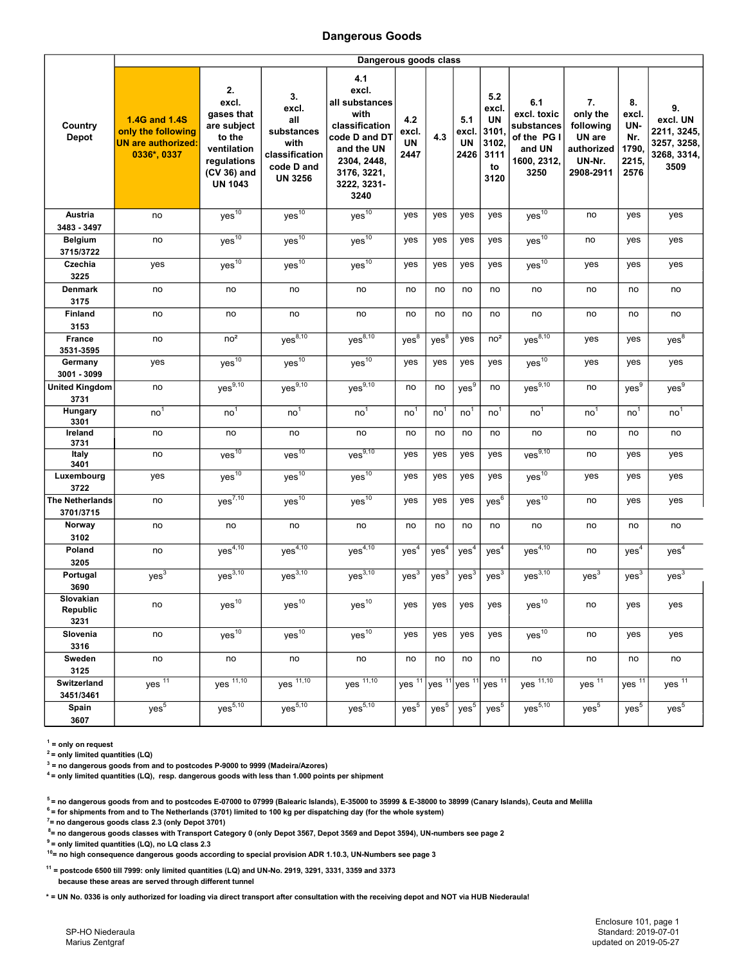## Dangerous Goods

|                                       | Dangerous goods class                                                           |                                                                                                                   |                                                                                            |                                                                                                                                              |                            |                      |                            |                                                                  |                                                                                  |                                                                            |                                                     |                                                                     |
|---------------------------------------|---------------------------------------------------------------------------------|-------------------------------------------------------------------------------------------------------------------|--------------------------------------------------------------------------------------------|----------------------------------------------------------------------------------------------------------------------------------------------|----------------------------|----------------------|----------------------------|------------------------------------------------------------------|----------------------------------------------------------------------------------|----------------------------------------------------------------------------|-----------------------------------------------------|---------------------------------------------------------------------|
| Country<br><b>Depot</b>               | 1.4G and 1.4S<br>only the following<br><b>UN are authorized:</b><br>0336*, 0337 | 2.<br>excl.<br>gases that<br>are subject<br>to the<br>ventilation<br>regulations<br>(CV 36) and<br><b>UN 1043</b> | 3.<br>excl.<br>all<br>substances<br>with<br>classification<br>code D and<br><b>UN 3256</b> | 4.1<br>excl.<br>all substances<br>with<br>classification<br>code D and DT<br>and the UN<br>2304, 2448,<br>3176, 3221,<br>3222, 3231-<br>3240 | 4.2<br>excl.<br>UN<br>2447 | 4.3                  | 5.1<br>excl.<br>UN<br>2426 | 5.2<br>excl.<br><b>UN</b><br>3101<br>3102.<br>3111<br>to<br>3120 | 6.1<br>excl. toxic<br>substances<br>of the PG I<br>and UN<br>1600, 2312,<br>3250 | 7.<br>only the<br>following<br>UN are<br>authorized<br>UN-Nr.<br>2908-2911 | 8.<br>excl.<br>UN-<br>Nr.<br>1790,<br>2215,<br>2576 | 9.<br>excl. UN<br>2211, 3245,<br>3257, 3258,<br>3268, 3314,<br>3509 |
| Austria                               | no                                                                              | $yes^{10}$                                                                                                        | $yes^{\overline{10}}$                                                                      | $yes^{10}$                                                                                                                                   | yes                        | yes                  | yes                        | yes                                                              | $yes^{10}$                                                                       | no                                                                         | yes                                                 | yes                                                                 |
| 3483 - 3497                           |                                                                                 |                                                                                                                   |                                                                                            |                                                                                                                                              |                            |                      |                            |                                                                  |                                                                                  |                                                                            |                                                     |                                                                     |
| <b>Belgium</b><br>3715/3722           | no                                                                              | $yes^{\overline{10}}$                                                                                             | Yes <sup>10</sup>                                                                          | $yes^{10}$                                                                                                                                   | yes                        | yes                  | yes                        | yes                                                              | $yes^{10}$                                                                       | no                                                                         | yes                                                 | yes                                                                 |
| Czechia<br>3225                       | yes                                                                             | $yes^{10}$                                                                                                        | $yes^{\overline{10}}$                                                                      | $yes^{\overline{10}}$                                                                                                                        | yes                        | yes                  | yes                        | yes                                                              | $yes^{\overline{10}}$                                                            | yes                                                                        | yes                                                 | yes                                                                 |
| <b>Denmark</b>                        | no                                                                              | no                                                                                                                | no                                                                                         | no                                                                                                                                           | no                         | no                   | no                         | no                                                               | no                                                                               | no                                                                         | no                                                  | no                                                                  |
| 3175                                  |                                                                                 |                                                                                                                   |                                                                                            |                                                                                                                                              |                            |                      |                            |                                                                  |                                                                                  |                                                                            |                                                     |                                                                     |
| <b>Finland</b><br>3153                | no                                                                              | no                                                                                                                | no                                                                                         | no                                                                                                                                           | no                         | no                   | no                         | no                                                               | no                                                                               | no                                                                         | no                                                  | no                                                                  |
| <b>France</b><br>3531-3595            | no                                                                              | no <sup>2</sup>                                                                                                   | $yes^{\frac{3}{8,10}}$                                                                     | $yes^{8,10}$                                                                                                                                 | $yes^8$                    | $yes^8$              | yes                        | no <sup>2</sup>                                                  | $yes^{\frac{8,10}{8,10}}$                                                        | yes                                                                        | yes                                                 | $yes^8$                                                             |
| Germany                               | yes                                                                             | $yes^{10}$                                                                                                        | $yes^{\overline{10}}$                                                                      | $yes^{\overline{10}}$                                                                                                                        | yes                        | yes                  | yes                        | yes                                                              | $yes^{10}$                                                                       | yes                                                                        | yes                                                 | yes                                                                 |
| 3001 - 3099<br><b>United Kingdom</b>  | no                                                                              | $yes^{\overline{9,10}}$                                                                                           | $yes^{9,10}$                                                                               | $yes^{9,10}$                                                                                                                                 | no                         | no                   | yes <sup>9</sup>           | no                                                               | yes <sup>9,10</sup>                                                              | no                                                                         | yes <sup>9</sup>                                    | yes <sup>9</sup>                                                    |
| 3731                                  |                                                                                 |                                                                                                                   |                                                                                            |                                                                                                                                              |                            |                      |                            |                                                                  |                                                                                  |                                                                            |                                                     |                                                                     |
| Hungary<br>3301                       | no <sup>1</sup>                                                                 | no <sup>1</sup>                                                                                                   | no <sup>1</sup>                                                                            | no <sup>1</sup>                                                                                                                              | no <sup>1</sup>            | no <sup>1</sup>      | no'                        | no <sup>1</sup>                                                  | no <sup>1</sup>                                                                  | no <sup>1</sup>                                                            | no'                                                 | no <sup>1</sup>                                                     |
| Ireland<br>3731                       | no                                                                              | no                                                                                                                | no                                                                                         | no                                                                                                                                           | no                         | no                   | no                         | no                                                               | no                                                                               | no                                                                         | no                                                  | no                                                                  |
| Italy<br>3401                         | no                                                                              | ves <sup>10</sup>                                                                                                 | ves <sup>10</sup>                                                                          | Ves <sup>9,10</sup>                                                                                                                          | yes                        | yes                  | yes                        | yes                                                              | ves <sup>9,10</sup>                                                              | no                                                                         | yes                                                 | yes                                                                 |
| Luxembourg<br>3722                    | yes                                                                             | $yes^{10}$                                                                                                        | $yes^{10}$                                                                                 | $yes^{10}$                                                                                                                                   | yes                        | yes                  | yes                        | yes                                                              | $yes^{10}$                                                                       | yes                                                                        | yes                                                 | yes                                                                 |
| <b>The Netherlands</b><br>3701/3715   | no                                                                              | $yes^{7,10}$                                                                                                      | yes <sup>10</sup>                                                                          | $yes^{\overline{10}}$                                                                                                                        | yes                        | yes                  | yes                        | $yes^6$                                                          | $yes^{10}$                                                                       | no                                                                         | yes                                                 | yes                                                                 |
| Norway<br>3102                        | no                                                                              | no                                                                                                                | no                                                                                         | no                                                                                                                                           | no                         | no                   | no                         | no                                                               | no                                                                               | no                                                                         | no                                                  | no                                                                  |
| Poland<br>3205                        | no                                                                              | $yes^{4,10}$                                                                                                      | $yes^{4,10}$                                                                               | $yes^{4,10}$                                                                                                                                 | yes <sup>4</sup>           | yes <sup>4</sup>     | yes <sup>4</sup>           | yes <sup>4</sup>                                                 | $yes^{\overline{4,10}}$                                                          | no                                                                         | yes <sup>4</sup>                                    | yes <sup>4</sup>                                                    |
| Portugal                              | yes <sup>3</sup>                                                                | $yes^{\frac{3}{3,10}}$                                                                                            | $yes^{\frac{3,10}{3,10}}$                                                                  | yes <sup>3,10</sup>                                                                                                                          | yes <sup>3</sup>           | yes <sup>3</sup>     | yes <sup>3</sup>           | $yes^{\overline{3}}$                                             | yes <sup>3,10</sup>                                                              | yes <sup>3</sup>                                                           | yes <sup>3</sup>                                    | $yes^3$                                                             |
| 3690<br>Slovakian<br>Republic<br>3231 | no                                                                              | yes <sup>10</sup>                                                                                                 | ${\rm yes}^{10}$                                                                           | $yes^{10}$                                                                                                                                   | yes                        | yes                  | yes                        | yes                                                              | yes <sup>10</sup>                                                                | no                                                                         | yes                                                 | yes                                                                 |
| Slovenia<br>3316                      | no                                                                              | yes <sup>10</sup>                                                                                                 | Yes <sup>10</sup>                                                                          | yes <sup>10</sup>                                                                                                                            | yes                        | yes                  | yes                        | yes                                                              | Yes <sup>10</sup>                                                                | no                                                                         | yes                                                 | yes                                                                 |
| Sweden<br>3125                        | no                                                                              | no                                                                                                                | no                                                                                         | no                                                                                                                                           | no                         | no                   | no                         | no                                                               | no                                                                               | no                                                                         | no                                                  | no                                                                  |
| Switzerland<br>3451/3461              | $yes^{\frac{1}{11}}$                                                            | $yes^{\frac{1}{1,10}}$                                                                                            | $yes$ <sup>11,10</sup>                                                                     | $yes$ <sup>11,10</sup>                                                                                                                       | yes $11$                   | yes $\overline{11}$  | lyes $\overline{11}$       | $yes^{\overline{11}}$                                            | yes <sup>11,10</sup>                                                             | yes <sup>11</sup>                                                          | $yes^{\frac{1}{11}}$                                | yes <sup>11</sup>                                                   |
| Spain<br>3607                         | $yes^5$                                                                         | $yes^{5,10}$                                                                                                      | $yes^{5,10}$                                                                               | $yes^{5,10}$                                                                                                                                 | yes <sup>5</sup>           | $yes^{\overline{5}}$ | $yes^5$                    | yes <sup>5</sup>                                                 | $yes^{5,10}$                                                                     | yes <sup>5</sup>                                                           | yes <sup>5</sup>                                    | $yes^5$                                                             |

 $1 =$  only on request

 $2$  = only limited quantities (LQ)

 $3$  = no dangerous goods from and to postcodes P-9000 to 9999 (Madeira/Azores)

<sup>4</sup>= only limited quantities (LQ), resp. dangerous goods with less than 1.000 points per shipment

<sup>5</sup>= no dangerous goods from and to postcodes E-07000 to 07999 (Balearic Islands), E-35000 to 35999 & E-38000 to 38999 (Canary Islands), Ceuta and Melilla

 $6$  = for shipments from and to The Netherlands (3701) limited to 100 kg per dispatching day (for the whole system)

 $7$ = no dangerous goods class 2.3 (only Depot 3701)

8= no dangerous goods classes with Transport Category 0 (only Depot 3567, Depot 3569 and Depot 3594), UN-numbers see page 2

 $<sup>9</sup>$  = only limited quantities (LQ), no LQ class 2.3</sup>

 $10$  = no high consequence dangerous goods according to special provision ADR 1.10.3, UN-Numbers see page 3

 $11$  = postcode 6500 till 7999: only limited quantities (LQ) and UN-No. 2919, 3291, 3331, 3359 and 3373 because these areas are served through different tunnel

\* = UN No. 0336 is only authorized for loading via direct transport after consultation with the receiving depot and NOT via HUB Niederaula!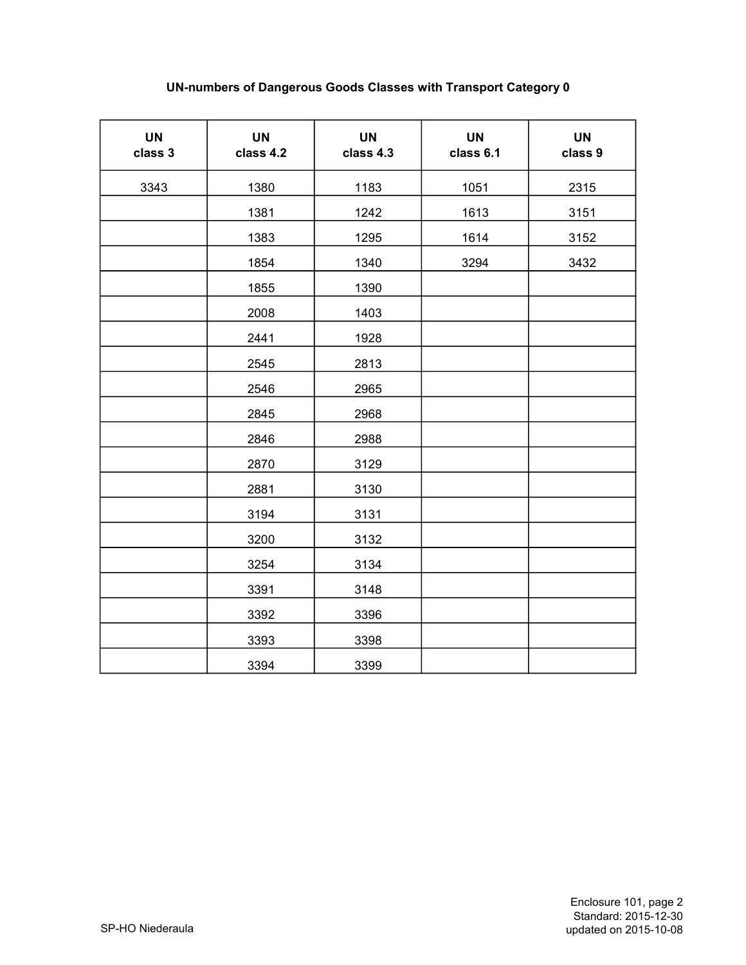## UN-numbers of Dangerous Goods Classes with Transport Category 0

| <b>UN</b><br>class 3 | <b>UN</b><br>class 4.2 | <b>UN</b><br>class 4.3 | <b>UN</b><br>class 6.1 | <b>UN</b><br>class 9 |
|----------------------|------------------------|------------------------|------------------------|----------------------|
| 3343                 | 1380                   | 1183                   | 1051                   | 2315                 |
|                      | 1381                   | 1242                   | 1613                   | 3151                 |
|                      | 1383                   | 1295                   | 1614                   | 3152                 |
|                      | 1854                   | 1340                   | 3294                   | 3432                 |
|                      | 1855                   | 1390                   |                        |                      |
|                      | 2008                   | 1403                   |                        |                      |
|                      | 2441                   | 1928                   |                        |                      |
|                      | 2545                   | 2813                   |                        |                      |
|                      | 2546                   | 2965                   |                        |                      |
|                      | 2845                   | 2968                   |                        |                      |
|                      | 2846                   | 2988                   |                        |                      |
|                      | 2870                   | 3129                   |                        |                      |
|                      | 2881                   | 3130                   |                        |                      |
|                      | 3194                   | 3131                   |                        |                      |
|                      | 3200                   | 3132                   |                        |                      |
|                      | 3254                   | 3134                   |                        |                      |
|                      | 3391                   | 3148                   |                        |                      |
|                      | 3392                   | 3396                   |                        |                      |
|                      | 3393                   | 3398                   |                        |                      |
|                      | 3394                   | 3399                   |                        |                      |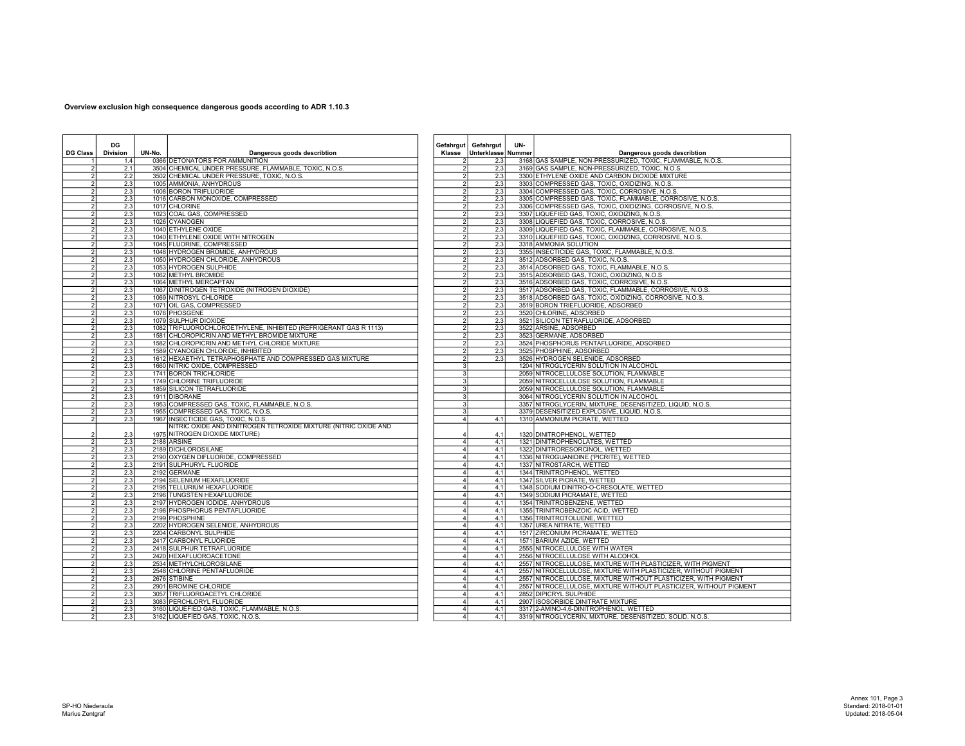## Overview exclusion high consequence dangerous goods according to ADR 1.10.3

| <b>DG Class</b> | DG<br><b>Division</b> | UN-No. | Dangerous goods describtion                                           | Klasse                           | Gefahrgut Gefahrgut<br>Unterklasse Nummer | UN- | Dangerous goods describtion                                                                           |
|-----------------|-----------------------|--------|-----------------------------------------------------------------------|----------------------------------|-------------------------------------------|-----|-------------------------------------------------------------------------------------------------------|
|                 | 1.4                   |        | 0366 DETONATORS FOR AMMUNITION                                        | 2                                | 2.3                                       |     | 3168 GAS SAMPLE, NON-PRESSURIZED, TOXIC, FLAMMABLE, N.O.S.                                            |
|                 | 2.1                   |        | 3504 CHEMICAL UNDER PRESSURE, FLAMMABLE, TOXIC, N.O.S.                | $\overline{2}$                   | 2.3                                       |     | 3169 GAS SAMPLE, NON-PRESSURIZED, TOXIC, N.O.S.                                                       |
|                 | 2.2                   |        | 3502 CHEMICAL UNDER PRESSURE, TOXIC, N.O.S.                           | $\overline{2}$                   | 2.3                                       |     | 3300 ETHYLENE OXIDE AND CARBON DIOXIDE MIXTURE                                                        |
|                 | 2.3                   |        | 1005 AMMONIA, ANHYDROUS                                               | $\overline{2}$                   | 2.3                                       |     | 3303 COMPRESSED GAS, TOXIC, OXIDIZING, N.O.S.                                                         |
|                 | 2.3                   |        | 1008 BORON TRIFLUORIDE                                                | $\overline{2}$                   | 2.3                                       |     | 3304 COMPRESSED GAS, TOXIC, CORROSIVE, N.O.S.                                                         |
|                 | 2.3                   |        | 1016 CARBON MONOXIDE, COMPRESSED                                      | $\overline{2}$                   | 2.3                                       |     | 3305 COMPRESSED GAS, TOXIC, FLAMMABLE, CORROSIVE, N.O.S.                                              |
|                 | 2.3                   |        | 1017 CHLORINE                                                         | $\overline{2}$                   | 2.3                                       |     | 3306 COMPRESSED GAS, TOXIC, OXIDIZING, CORROSIVE, N.O.S.                                              |
|                 | 2.3                   |        | 1023 COAL GAS, COMPRESSED                                             | $\overline{2}$                   | 2.3                                       |     | 3307 LIQUEFIED GAS, TOXIC, OXIDIZING, N.O.S.                                                          |
|                 | 2.3                   |        | 1026 CYANOGEN                                                         | $\overline{2}$                   | 2.3                                       |     | 3308 LIQUEFIED GAS, TOXIC, CORROSIVE, N.O.S.                                                          |
|                 | 2.3                   |        | 1040 ETHYLENE OXIDE                                                   | $\overline{2}$                   | 2.3                                       |     | 3309 LIQUEFIED GAS, TOXIC, FLAMMABLE, CORROSIVE, N.O.S.                                               |
|                 | 2.3                   |        | 1040 ETHYLENE OXIDE WITH NITROGEN                                     | $\overline{2}$                   | 2.3                                       |     | 3310 LIQUEFIED GAS, TOXIC, OXIDIZING, CORROSIVE, N.O.S.                                               |
|                 | 2.3                   |        | 1045 FLUORINE, COMPRESSED                                             | $\overline{2}$                   | 2.3                                       |     | 3318 AMMONIA SOLUTION                                                                                 |
|                 | 2.3                   |        | 1048 HYDROGEN BROMIDE, ANHYDROUS                                      | $\overline{2}$                   | 2.3                                       |     | 3355 INSECTICIDE GAS, TOXIC, FLAMMABLE, N.O.S.                                                        |
|                 | 2.3                   |        | 1050 HYDROGEN CHLORIDE, ANHYDROUS                                     | $\overline{2}$<br>$\overline{2}$ | 2.3                                       |     | 3512 ADSORBED GAS, TOXIC, N.O.S.                                                                      |
|                 | 2.3                   |        | 1053 HYDROGEN SULPHIDE                                                |                                  | 2.3                                       |     | 3514 ADSORBED GAS, TOXIC, FLAMMABLE, N.O.S.                                                           |
|                 | 2.3                   |        | 1062 METHYL BROMIDE                                                   | $\overline{2}$                   | 2.3                                       |     | 3515 ADSORBED GAS, TOXIC, OXIDIZING, N.O.S.                                                           |
| $\mathcal{P}$   | 2.3<br>2.3            |        | 1064 METHYL MERCAPTAN<br>1067 DINITROGEN TETROXIDE (NITROGEN DIOXIDE) | $\overline{2}$<br>$\overline{2}$ | 2.3<br>2.3                                |     | 3516 ADSORBED GAS, TOXIC, CORROSIVE, N.O.S.<br>3517 ADSORBED GAS, TOXIC, FLAMMABLE, CORROSIVE, N.O.S. |
|                 | 2.3                   |        | 1069 NITROSYL CHLORIDE                                                | $\overline{2}$                   | 2.3                                       |     | 3518 ADSORBED GAS, TOXIC, OXIDIZING, CORROSIVE, N.O.S.                                                |
|                 |                       |        |                                                                       |                                  |                                           |     |                                                                                                       |
| $\mathcal{P}$   | 2.3<br>2.3            |        | 1071 OIL GAS, COMPRESSED<br>1076 PHOSGENE                             | $\overline{2}$<br>$\overline{2}$ | 2.3<br>$\overline{2.3}$                   |     | 3519 BORON TRIEFLUORIDE, ADSORBED<br>3520 CHLORINE, ADSORBED                                          |
|                 | 2.3                   |        | 1079 SULPHUR DIOXIDE                                                  | $\overline{2}$                   | 2.3                                       |     | 3521 SILICON TETRAFLUORIDE, ADSORBED                                                                  |
|                 | 2.3                   |        | 1082 TRIFLUOROCHLOROETHYLENE, INHIBITED (REFRIGERANT GAS R 1113)      | $\overline{2}$                   | 2.3                                       |     | 3522 ARSINE, ADSORBED                                                                                 |
|                 | 2.3                   |        | 1581 CHLOROPICRIN AND METHYL BROMIDE MIXTURE                          | $\overline{2}$                   | 2.3                                       |     | 3523 GERMANE, ADSORBED                                                                                |
|                 | 2.3                   |        | 1582 CHLOROPICRIN AND METHYL CHLORIDE MIXTURE                         | $\overline{2}$                   | 2.3                                       |     | 3524 PHOSPHORUS PENTAFLUORIDE, ADSORBED                                                               |
|                 | 2.3                   |        | 1589 CYANOGEN CHLORIDE, INHIBITED                                     | $\overline{2}$                   | 2.3                                       |     | 3525 PHOSPHINE, ADSORBED                                                                              |
|                 | 2.3                   |        | 1612 HEXAETHYL TETRAPHOSPHATE AND COMPRESSED GAS MIXTURE              | $\overline{2}$                   | 2.3                                       |     | 3526 HYDROGEN SELENIDE, ADSORBED                                                                      |
|                 | 2.3                   |        | 1660 NITRIC OXIDE, COMPRESSED                                         | $\overline{3}$                   |                                           |     | 1204 NITROGLYCERIN SOLUTION IN ALCOHOL                                                                |
|                 | 2.3                   |        | 1741 BORON TRICHLORIDE                                                | 3                                |                                           |     | 2059 NITROCELLULOSE SOLUTION, FLAMMABLE                                                               |
|                 | 2.3                   |        | 1749 CHLORINE TRIFLUORIDE                                             | $\overline{3}$                   |                                           |     | 2059 NITROCELLULOSE SOLUTION, FLAMMABLE                                                               |
|                 | 2.3                   |        | 1859 SILICON TETRAFLUORIDE                                            | 3                                |                                           |     | 2059 NITROCELLULOSE SOLUTION, FLAMMABLE                                                               |
|                 | 2.3                   |        | 1911 DIBORANE                                                         | 3                                |                                           |     | 3064 NITROGLYCERIN SOLUTION IN ALCOHOL                                                                |
|                 | 2.3                   |        | 1953 COMPRESSED GAS, TOXIC, FLAMMABLE, N.O.S.                         | $\overline{3}$                   |                                           |     | 3357 NITROGLYCERIN, MIXTURE, DESENSITIZED, LIQUID, N.O.S.                                             |
|                 | 2.3                   |        | 1955 COMPRESSED GAS, TOXIC, N.O.S.                                    | $\mathbf{3}$                     |                                           |     | 3379 DESENSITIZED EXPLOSIVE, LIQUID, N.O.S.                                                           |
|                 | 2.3                   |        | 1967 INSECTICIDE GAS, TOXIC, N.O.S.                                   | $\overline{4}$                   | 4.1                                       |     | 1310 AMMONIUM PICRATE, WETTED                                                                         |
|                 |                       |        | NITRIC OXIDE AND DINITROGEN TETROXIDE MIXTURE (NITRIC OXIDE AND       |                                  |                                           |     |                                                                                                       |
|                 | 2.3                   |        | 1975 NITROGEN DIOXIDE MIXTURE)                                        | 4                                | 4.1                                       |     | 1320 DINITROPHENOL, WETTED                                                                            |
|                 | 2.3                   |        | 2188 ARSINE                                                           | 4                                | 4.1                                       |     | 1321 DINITROPHENOLATES, WETTED                                                                        |
|                 | 2.3                   |        | 2189 DICHLOROSILANE                                                   | 4                                | 4.1                                       |     | 1322 DINITRORESORCINOL, WETTED                                                                        |
|                 | 2.3                   |        | 2190 OXYGEN DIFLUORIDE, COMPRESSED                                    | $\overline{4}$                   | 4.1                                       |     | 1336 NITROGUANIDINE ('PICRITE), WETTED                                                                |
|                 | 2.3                   |        | 2191 SULPHURYL FLUORIDE                                               | 4                                | 4.1                                       |     | 1337 NITROSTARCH, WETTED                                                                              |
|                 | 2.3                   |        | 2192 GERMANE                                                          | 4                                | 4.1                                       |     | 1344 TRINITROPHENOL, WETTED                                                                           |
|                 | 2.3                   |        | 2194 SELENIUM HEXAFLUORIDE                                            | $\overline{4}$                   | 4.1                                       |     | 1347 SILVER PICRATE, WETTED                                                                           |
|                 | 2.3                   |        | 2195 TELLURIUM HEXAFLUORIDE                                           | 4                                | 4.1                                       |     | 1348 SODIUM DINITRO-O-CRESOLATE, WETTED                                                               |
|                 | 2.3                   |        | 2196 TUNGSTEN HEXAFLUORIDE                                            | $\overline{4}$                   | 4.1                                       |     | 1349 SODIUM PICRAMATE, WETTED                                                                         |
|                 | 2.3                   |        | 2197 HYDROGEN IODIDE, ANHYDROUS                                       | 4                                | 4.1                                       |     | 1354 TRINITROBENZENE, WETTED                                                                          |
|                 | 2.3<br>2.3            |        | 2198 PHOSPHORUS PENTAFLUORIDE                                         | 4<br>$\overline{4}$              | 4.1                                       |     | 1355 TRINITROBENZOIC ACID, WETTED                                                                     |
|                 | 2.3                   |        | 2199 PHOSPHINE<br>2202 HYDROGEN SELENIDE, ANHYDROUS                   | 4                                | 4.1<br>4.1                                |     | 1356 TRINITROTOLUENE, WETTED<br>1357 UREA NITRATE, WETTED                                             |
|                 | 2.3                   |        | 2204 CARBONYL SULPHIDE                                                | $\overline{4}$                   | 4.1                                       |     | 1517 ZIRCONIUM PICRAMATE, WETTED                                                                      |
|                 | 2.3                   |        | 2417 CARBONYL FLUORIDE                                                | $\overline{4}$                   | 4.1                                       |     | 1571 BARIUM AZIDE, WETTED                                                                             |
|                 | 2.3                   |        | 2418 SULPHUR TETRAFLUORIDE                                            | 4                                | 4.1                                       |     | 2555 NITROCELLULOSE WITH WATER                                                                        |
|                 | 2.3                   |        | 2420 HEXAFLUOROACETONE                                                | 4                                | 4.1                                       |     | 2556 NITROCELLULOSE WITH ALCOHOL                                                                      |
|                 | 2.3                   |        | 2534 METHYLCHLOROSILANE                                               | $\overline{4}$                   | 4.1                                       |     | 2557 NITROCELLULOSE, MIXTURE WITH PLASTICIZER, WITH PIGMENT                                           |
|                 | 2.3                   |        | 2548 CHLORINE PENTAFLUORIDE                                           | $\overline{4}$                   | 4.1                                       |     | 2557 NITROCELLULOSE, MIXTURE WITH PLASTICIZER, WITHOUT PIGMENT                                        |
|                 | 2.3                   |        | 2676 STIBINE                                                          | 4                                | 4.1                                       |     | 2557 NITROCELLULOSE, MIXTURE WITHOUT PLASTICIZER, WITH PIGMENT                                        |
|                 | 2.3                   |        | 2901 BROMINE CHLORIDE                                                 | 4                                | 4.1                                       |     | 2557 NITROCELLULOSE, MIXTURE WITHOUT PLASTICIZER, WITHOUT PIGMENT                                     |
|                 | 2.3                   |        | 3057 TRIFLUOROACETYL CHLORIDE                                         | 4                                | 4.1                                       |     | 2852 DIPICRYL SULPHIDE                                                                                |
|                 | 2.3                   |        | 3083 PERCHLORYL FLUORIDE                                              | $\overline{a}$                   | 4.1                                       |     | 2907 ISOSORBIDE DINITRATE MIXTURE                                                                     |
| $\mathfrak{p}$  | 2.3                   |        | 3160 LIQUEFIED GAS, TOXIC, FLAMMABLE, N.O.S.                          | 4                                | 4.1                                       |     | 3317 2-AMINO-4.6-DINITROPHENOL, WETTED                                                                |
| $\mathfrak{p}$  | 2.3                   |        | 3162 LIQUEFIED GAS, TOXIC, N.O.S.                                     | 4                                | 4.1                                       |     | 3319 NITROGLYCERIN, MIXTURE, DESENSITIZED, SOLID, N.O.S                                               |
|                 |                       |        |                                                                       |                                  |                                           |     |                                                                                                       |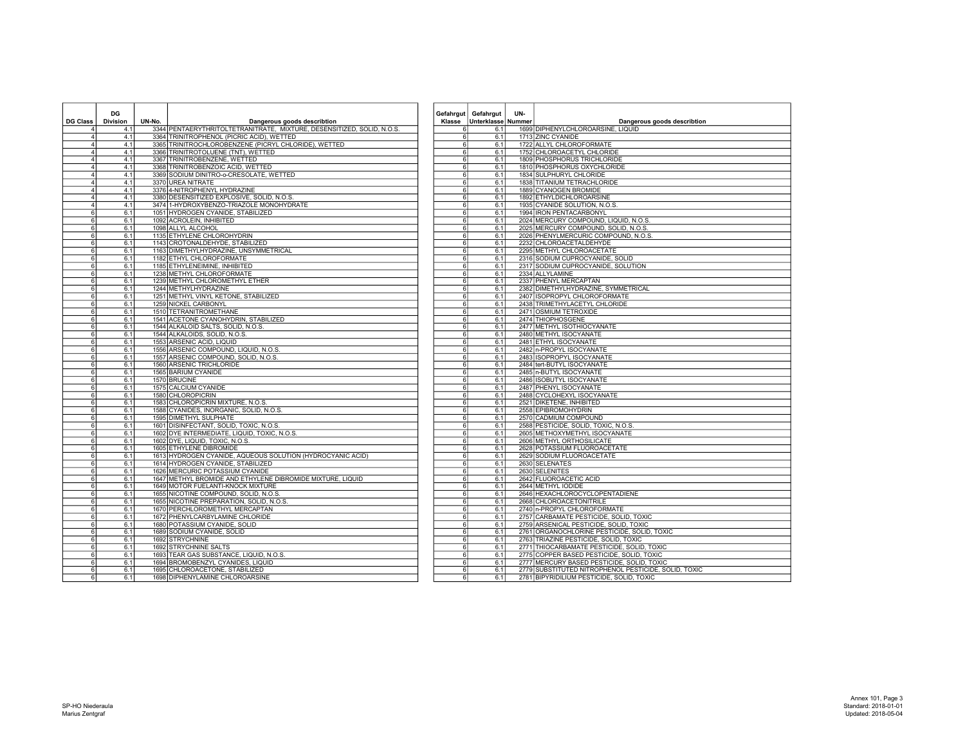|                                  | DG              |        |                                                                                        |                                  | Gefahrgut Gefahrgut       | UN- |                                                           |
|----------------------------------|-----------------|--------|----------------------------------------------------------------------------------------|----------------------------------|---------------------------|-----|-----------------------------------------------------------|
| <b>DG Class</b>                  | <b>Division</b> | UN-No. | Dangerous goods describtion                                                            |                                  | Klasse Unterklasse Nummer |     | Dangerous goods describtion                               |
|                                  | 4.1             |        | 3344 PENTAERYTHRITOLTETRANITRATE, MIXTURE, DESENSITIZED, SOLID, N.O.S.                 | ĥ                                | 6.1                       |     | 1699 DIPHENYLCHLOROARSINE, LIQUID                         |
| 4                                | 4.1             |        | 3364 TRINITROPHENOL (PICRIC ACID), WETTED                                              | 6                                | 6.1                       |     | 1713 ZINC CYANIDE                                         |
| $\overline{4}$                   | 4.1             |        | 3365 TRINITROCHLOROBENZENE (PICRYL CHLORIDE), WETTED                                   | 6                                | 6.1                       |     | 1722 ALLYL CHLOROFORMATE                                  |
| $\overline{4}$                   | 4.1             |        | 3366 TRINITROTOLUENE (TNT), WETTED                                                     | 6 <sup>1</sup>                   | 6.1                       |     | 1752 CHLOROACETYL CHLORIDE                                |
| $\overline{4}$                   | 4.1             |        | 3367 TRINITROBENZENE, WETTED                                                           | 6 <sup>1</sup>                   | 6.1                       |     | 1809 PHOSPHORUS TRICHLORIDE                               |
| $\Delta$                         | 4.1             |        | 3368 TRINITROBENZOIC ACID, WETTED                                                      | 6                                | 6.1                       |     | 1810 PHOSPHORUS OXYCHLORIDE                               |
| $\overline{4}$                   | 4.1             |        | 3369 SODIUM DINITRO-o-CRESOLATE, WETTED                                                | 6                                | 6.1                       |     | 1834 SULPHURYL CHLORIDE                                   |
| 4                                | 4.1             |        | 3370 UREA NITRATE                                                                      | 6                                | 6.1                       |     | 1838 TITANIUM TETRACHLORIDE                               |
| $\overline{4}$                   | 4.1             |        | 3376 4-NITROPHENYL HYDRAZINE                                                           | 6 I                              | 6.1                       |     | 1889 CYANOGEN BROMIDE                                     |
| $\overline{4}$<br>$\overline{4}$ | 4.1             |        | 3380 DESENSITIZED EXPLOSIVE, SOLID, N.O.S.<br>3474 1-HYDROXYBENZO-TRIAZOLE MONOHYDRATE | 6<br>6 <sup>1</sup>              | 6.1                       |     | 1892 ETHYLDICHLOROARSINE<br>1935 CYANIDE SOLUTION, N.O.S. |
| $6 \mid$                         | 4.1             |        |                                                                                        | 6 <sup>1</sup>                   | 6.1                       |     | 1994 IRON PENTACARBONYL                                   |
| $6 \mid$                         | 6.1<br>6.1      |        | 1051 HYDROGEN CYANIDE, STABILIZED<br>1092 ACROLEIN, INHIBITED                          | 6                                | 6.1<br>6.1                |     | 2024 MERCURY COMPOUND, LIQUID, N.O.S.                     |
| 6                                | 6.1             |        | 1098 ALLYL ALCOHOL                                                                     | 6                                | 6.1                       |     | 2025 MERCURY COMPOUND, SOLID, N.O.S.                      |
| $\overline{6}$                   | 6.1             |        | 1135 ETHYLENE CHLOROHYDRIN                                                             | 6                                | 6.1                       |     | 2026 PHENYLMERCURIC COMPOUND, N.O.S.                      |
| $6 \mid$                         | 6.1             |        | 1143 CROTONALDEHYDE, STABILIZED                                                        | 6                                | 6.1                       |     | 2232 CHLOROACETALDEHYDE                                   |
| $6 \mid$                         | 6.1             |        | 1163 DIMETHYLHYDRAZINE, UNSYMMETRICAL                                                  | 6                                | 6.1                       |     | 2295 METHYL CHLOROACETATE                                 |
| $6 \overline{6}$                 | 6.1             |        | 1182 ETHYL CHLOROFORMATE                                                               | 6                                | 6.1                       |     | 2316 SODIUM CUPROCYANIDE, SOLID                           |
| $6 \mid$                         | 6.1             |        | 1185 ETHYLENEIMINE, INHIBITED                                                          | 6                                | 6.1                       |     | 2317 SODIUM CUPROCYANIDE, SOLUTION                        |
| $6 \mid$                         | 6.1             |        | 1238 METHYL CHLOROFORMATE                                                              | 6 <sup>1</sup>                   | 6.1                       |     | 2334 ALLYLAMINE                                           |
| $6 \mid$                         | 6.1             |        | 1239 METHYL CHLOROMETHYL ETHER                                                         | 6 <sup>1</sup>                   | 6.1                       |     | 2337 PHENYL MERCAPTAN                                     |
| $6 \mid$                         | 6.1             |        | 1244 METHYLHYDRAZINE                                                                   | 6                                | 6.1                       |     | 2382 DIMETHYLHYDRAZINE, SYMMETRICAL                       |
| $6 \mid$                         | 6.1             |        | 1251 METHYL VINYL KETONE, STABILIZED                                                   | 6                                | 6.1                       |     | 2407 ISOPROPYL CHLOROFORMATE                              |
| $6 \mid$                         | 6.1             |        | 1259 NICKEL CARBONYL                                                                   | 6                                | 6.1                       |     | 2438 TRIMETHYLACETYL CHLORIDE                             |
| 6 <sup>1</sup>                   | 6.1             |        | 1510 TETRANITROMETHANE                                                                 | 6                                | 6.1                       |     | 2471 OSMIUM TETROXIDE                                     |
| $\overline{6}$                   | 6.1             |        | 1541 ACETONE CYANOHYDRIN, STABILIZED                                                   | 6                                | 6.1                       |     | 2474 THIOPHOSGENE                                         |
| $6 \mid$                         | 6.1             |        | 1544 ALKALOID SALTS, SOLID, N.O.S.                                                     | 6 <sup>1</sup>                   | 6.1                       |     | 2477 METHYL ISOTHIOCYANATE                                |
| $6 \mid$                         | 6.1             |        | 1544 ALKALOIDS, SOLID, N.O.S.                                                          | $6 \mid$                         | 6.1                       |     | 2480 METHYL ISOCYANATE                                    |
| $6 \mid$                         | 6.1             |        | 1553 ARSENIC ACID, LIQUID                                                              | 6                                | 6.1                       |     | 2481 ETHYL ISOCYANATE                                     |
| 6 <sup>1</sup>                   | 6.1             |        | 1556 ARSENIC COMPOUND, LIQUID, N.O.S.                                                  | 6 <sup>1</sup>                   | 6.1                       |     | 2482 n-PROPYL ISOCYANATE                                  |
| $\overline{6}$                   | 6.1             |        | 1557 ARSENIC COMPOUND, SOLID, N.O.S.                                                   | 6                                | 6.1                       |     | 2483 ISOPROPYL ISOCYANATE                                 |
| $6 \mid$                         | 6.1             |        | 1560 ARSENIC TRICHLORIDE                                                               | $6 \mid$                         | 6.1                       |     | 2484 tert-BUTYL ISOCYANATE                                |
| $6 \mid$                         | 6.1             |        | 1565 BARIUM CYANIDE                                                                    | 6                                | 6.1                       |     | 2485 n-BUTYL ISOCYANATE                                   |
| $6 \mid$                         | 6.1             |        | 1570 BRUCINE                                                                           | 6                                | 6.1                       |     | 2486 ISOBUTYL ISOCYANATE                                  |
| $6 \mid$<br>$6 \mid$             | 6.1             |        | 1575 CALCIUM CYANIDE<br>1580 CHLOROPICRIN                                              | 6 <sup>1</sup><br>6 <sup>1</sup> | 6.1                       |     | 2487 PHENYL ISOCYANATE<br>2488 CYCLOHEXYL ISOCYANATE      |
| $6 \mid$                         | 6.1             |        |                                                                                        | 6 <sup>1</sup>                   | 6.1                       |     |                                                           |
| $6 \mid$                         | 6.1<br>6.1      |        | 1583 CHLOROPICRIN MIXTURE, N.O.S.<br>1588 CYANIDES, INORGANIC, SOLID, N.O.S.           | 6 <sup>1</sup>                   | 6.1<br>6.1                |     | 2521 DIKETENE, INHIBITED<br>2558 EPIBROMOHYDRIN           |
| $6 \mid$                         | 6.1             |        | 1595 DIMETHYL SULPHATE                                                                 | 6                                | 6.1                       |     | 2570 CADMIUM COMPOUND                                     |
| $6 \mid$                         | 6.1             |        | 1601 DISINFECTANT, SOLID, TOXIC, N.O.S.                                                | $6 \mid$                         | 6.1                       |     | 2588 PESTICIDE, SOLID, TOXIC, N.O.S.                      |
| 6 <sup>1</sup>                   | 6.1             |        | 1602 DYE INTERMEDIATE, LIQUID, TOXIC, N.O.S.                                           | 6 <sup>1</sup>                   | 6.1                       |     | 2605 METHOXYMETHYL ISOCYANATE                             |
| 6 <sup>1</sup>                   | 6.1             |        | 1602 DYE, LIQUID, TOXIC, N.O.S.                                                        | 6 <sup>1</sup>                   | 6.1                       |     | 2606 METHYL ORTHOSILICATE                                 |
| $6 \mid$                         | 6.1             |        | 1605 ETHYLENE DIBROMIDE                                                                | $6 \mid$                         | 6.1                       |     | 2628 POTASSIUM FLUOROACETATE                              |
| $6 \mid$                         | 6.1             |        | 1613 HYDROGEN CYANIDE, AQUEOUS SOLUTION (HYDROCYANIC ACID)                             | 6                                | 6.1                       |     | 2629 SODIUM FLUOROACETATE                                 |
| $6 \mid$                         | 6.1             |        | 1614 HYDROGEN CYANIDE, STABILIZED                                                      | 6                                | 6.1                       |     | 2630 SELENATES                                            |
| 61                               | 6.1             |        | 1626 MERCURIC POTASSIUM CYANIDE                                                        | 6I                               | 6.1                       |     | 2630 SELENITES                                            |
| $6 \mid$                         | 6.1             |        | 1647 METHYL BROMIDE AND ETHYLENE DIBROMIDE MIXTURE, LIQUID                             | 6 <sup>1</sup>                   | 6.1                       |     | 2642 FLUOROACETIC ACID                                    |
| 6                                | 6.1             |        | 1649 MOTOR FUELANTI-KNOCK MIXTURE                                                      | $6 \mid$                         | 6.1                       |     | 2644 METHYL IODIDE                                        |
| $6 \mid$                         | 6.1             |        | 1655 NICOTINE COMPOUND, SOLID, N.O.S.                                                  | 6                                | 6.1                       |     | 2646 HEXACHLOROCYCLOPENTADIENE                            |
| $6 \mid$                         | 6.1             |        | 1655 NICOTINE PREPARATION, SOLID, N.O.S.                                               | 6                                | 6.1                       |     | 2668 CHLOROACETONITRILE                                   |
| 6                                | 6.1             |        | 1670 PERCHLOROMETHYL MERCAPTAN                                                         | 6                                | 6.1                       |     | 2740 n-PROPYL CHLOROFORMATE                               |
| $6 \mid$                         | 6.1             |        | 1672 PHENYLCARBYLAMINE CHLORIDE                                                        | 6 <sup>1</sup>                   | 6.1                       |     | 2757 CARBAMATE PESTICIDE, SOLID, TOXIC                    |
| 6                                | 6.1             |        | 1680 POTASSIUM CYANIDE, SOLID                                                          | 6                                | 6.1                       |     | 2759 ARSENICAL PESTICIDE, SOLID, TOXIC                    |
| 6                                | 6.1             |        | 1689 SODIUM CYANIDE, SOLID                                                             | 6I                               | 6.1                       |     | 2761 ORGANOCHLORINE PESTICIDE, SOLID, TOXIC               |
| $6 \mid$                         | 6.1             |        | 1692 STRYCHNINE                                                                        | 6                                | 6.1                       |     | 2763 TRIAZINE PESTICIDE, SOLID, TOXIC                     |
| 6                                | 6.1             |        | 1692 STRYCHNINE SALTS                                                                  | 6                                | 6.1                       |     | 2771 THIOCARBAMATE PESTICIDE, SOLID, TOXIC                |
| $6 \mid$                         | 6.1             |        | 1693 TEAR GAS SUBSTANCE, LIQUID, N.O.S.                                                | 6 <sup>1</sup>                   | 6.1                       |     | 2775 COPPER BASED PESTICIDE, SOLID, TOXIC                 |
| $6 \mid$                         | 6.1             |        | 1694 BROMOBENZYL CYANIDES, LIQUID                                                      | 6 <sup>1</sup>                   | 6.1                       |     | 2777 MERCURY BASED PESTICIDE, SOLID, TOXIC                |
| 6                                | 6.1             |        | 1695 CHLOROACETONE, STABILIZED                                                         | 6                                | 6.1                       |     | 2779 SUBSTITUTED NITROPHENOL PESTICIDE, SOLID, TOXIC      |
| $6 \overline{6}$                 | 6.1             |        | 1698 DIPHENYLAMINE CHLOROARSINE                                                        | 6                                | 6.1                       |     | 2781 BIPYRIDILIUM PESTICIDE, SOLID, TOXIC                 |